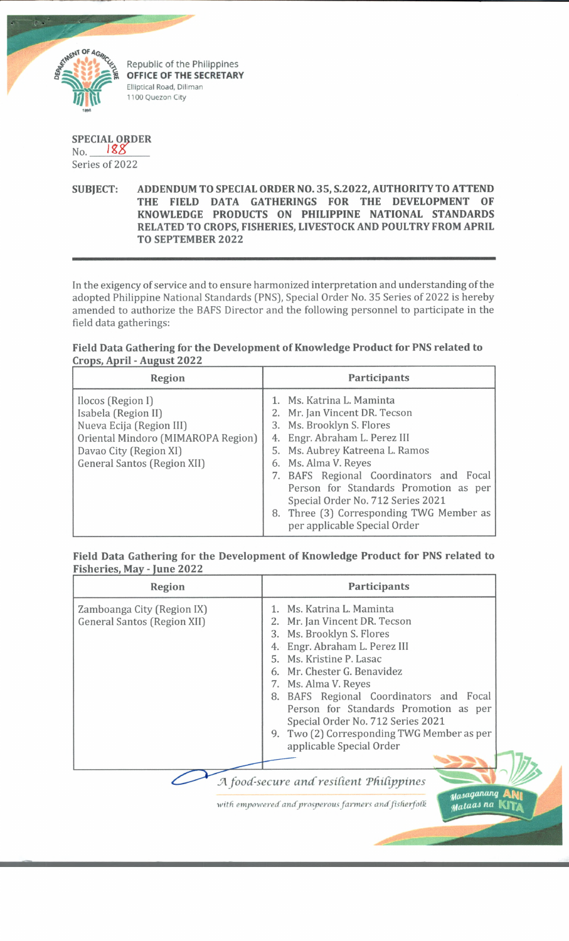

## **SPECIAL ORDER** No. Series of 2022

**SUBJECT: ADDENDUM TO SPECIAL ORDER NO. 35, S.2022, AUTHORITY TO ATTEND THE FIELD DATA GATHERINGS FOR THE DEVELOPMENT OF KNOWLEDGE PRODUCTS ON PHILIPPINE NATIONAL STANDARDS RELATED TO CROPS, FISHERIES, LIVESTOCK AND POULTRY FROM APRIL TO SEPTEMBER 2022**

In the exigency of service and to ensure harmonized interpretation and understanding of the adopted Philippine National Standards (PNS), Special Order No. 35 Series of 2022 is hereby amended to authorize the BAFS Director and the following personnel to participate in the field data gatherings:

## **Field Data Gathering for the Development of Knowledge Product for PNS related to Crops, April - August 2022\_\_\_\_\_\_\_\_\_\_\_\_\_\_\_\_\_\_\_\_\_\_\_\_\_\_\_\_\_\_\_\_\_\_\_\_\_\_\_\_\_\_\_\_\_\_\_\_\_\_\_\_\_\_\_\_\_\_\_\_\_\_\_\_\_\_\_\_\_\_\_\_\_\_**

| Region                                                                                                                                                                     | Participants                                                                                                                                                                                                                                                                                                                                                                             |
|----------------------------------------------------------------------------------------------------------------------------------------------------------------------------|------------------------------------------------------------------------------------------------------------------------------------------------------------------------------------------------------------------------------------------------------------------------------------------------------------------------------------------------------------------------------------------|
| Ilocos (Region I)<br>Isabela (Region II)<br>Nueva Ecija (Region III)<br>Oriental Mindoro (MIMAROPA Region)<br>Davao City (Region XI)<br><b>General Santos (Region XII)</b> | 1. Ms. Katrina L. Maminta<br>2. Mr. Jan Vincent DR. Tecson<br>3. Ms. Brooklyn S. Flores<br>4. Engr. Abraham L. Perez III<br>5. Ms. Aubrey Katreena L. Ramos<br>6. Ms. Alma V. Reyes<br>7. BAFS Regional Coordinators and Focal<br>Person for Standards Promotion as per<br>Special Order No. 712 Series 2021<br>8. Three (3) Corresponding TWG Member as<br>per applicable Special Order |

## **Field Data Gathering for the Development of Knowledge Product for PNS related to Fisheries, May - June 2022\_\_\_\_\_\_\_\_\_\_\_\_\_**

| Region                                                           | <b>Participants</b>                                                                                                                                                                                                                                                                                                                                                                                            |
|------------------------------------------------------------------|----------------------------------------------------------------------------------------------------------------------------------------------------------------------------------------------------------------------------------------------------------------------------------------------------------------------------------------------------------------------------------------------------------------|
| Zamboanga City (Region IX)<br><b>General Santos (Region XII)</b> | 1. Ms. Katrina L. Maminta<br>2. Mr. Jan Vincent DR. Tecson<br>3. Ms. Brooklyn S. Flores<br>4. Engr. Abraham L. Perez III<br>5. Ms. Kristine P. Lasac<br>6. Mr. Chester G. Benavidez<br>7. Ms. Alma V. Reyes<br>8. BAFS Regional Coordinators and Focal<br>Person for Standards Promotion as per<br>Special Order No. 712 Series 2021<br>9. Two (2) Corresponding TWG Member as per<br>applicable Special Order |
|                                                                  |                                                                                                                                                                                                                                                                                                                                                                                                                |

 $A$  food-secure and resilient Philippines

*with empowered andprosperous farmers andfisherfofk*

*tfaAOQantvm* A N i *fya-tacti na* k it \*